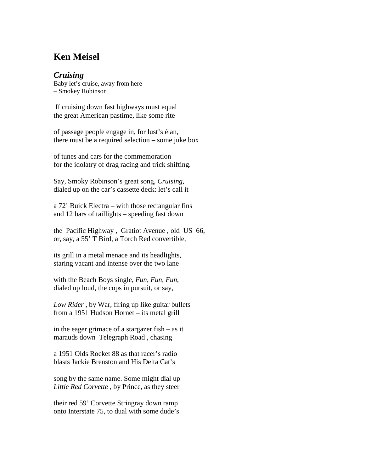## **Ken Meisel**

## *Cruising*

Baby let's cruise, away from here – Smokey Robinson

If cruising down fast highways must equal the great American pastime, like some rite

of passage people engage in, for lust's élan, there must be a required selection – some juke box

of tunes and cars for the commemoration – for the idolatry of drag racing and trick shifting.

Say, Smoky Robinson's great song, *Cruising*, dialed up on the car's cassette deck: let's call it

a 72' Buick Electra – with those rectangular fins and 12 bars of taillights – speeding fast down

the Pacific Highway , Gratiot Avenue , old US 66, or, say, a 55' T Bird, a Torch Red convertible,

its grill in a metal menace and its headlights, staring vacant and intense over the two lane

with the Beach Boys single, *Fun*, *Fun*, *Fun*, dialed up loud, the cops in pursuit, or say,

*Low Rider* , by War, firing up like guitar bullets from a 1951 Hudson Hornet – its metal grill

in the eager grimace of a stargazer fish – as it marauds down Telegraph Road , chasing

a 1951 Olds Rocket 88 as that racer's radio blasts Jackie Brenston and His Delta Cat's

song by the same name. Some might dial up *Little Red Corvette* , by Prince, as they steer

their red 59' Corvette Stringray down ramp onto Interstate 75, to dual with some dude's